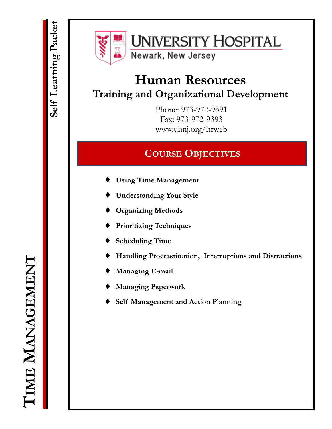

# **UNIVERSITY HOSPITAL**

Newark, New Jersey

# **Human Resources Training and Organizational Development**

Phone: 973-972-9391 Fax: 973-972-9393 www.uhnj.org/hrweb

## **COURSE OBJECTIVES**

- **Using Time Management**
- **Understanding Your Style**
- **Organizing Methods**
- **Prioritizing Techniques**
- **Scheduling Time**
- **Handling Procrastination, Interruptions and Distractions**
- **Managing E-mail**
- **Managing Paperwork**
- **Self Management and Action Planning**

**TIME MANAGEMENT MANAGEMENT**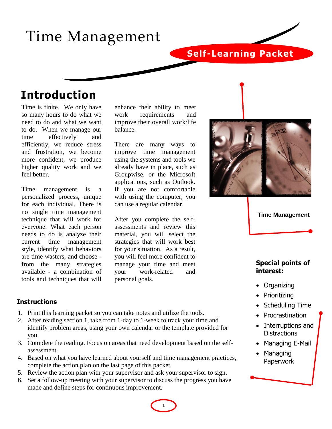# Time Management

## **Self-Learning Packet**

## **Introduction**

Time is finite. We only have so many hours to do what we need to do and what we want to do. When we manage our time effectively and efficiently, we reduce stress and frustration, we become more confident, we produce higher quality work and we feel better.

Time management is a personalized process, unique for each individual. There is no single time management technique that will work for everyone. What each person needs to do is analyze their current time management style, identify what behaviors are time wasters, and choose from the many strategies available - a combination of tools and techniques that will

enhance their ability to meet work requirements and improve their overall work/life balance.

There are many ways to improve time management using the systems and tools we already have in place, such as Groupwise, or the Microsoft applications, such as Outlook. If you are not comfortable with using the computer, you can use a regular calendar.

After you complete the selfassessments and review this material, you will select the strategies that will work best for your situation. As a result, you will feel more confident to manage your time and meet your work-related and personal goals.





## **Special points of interest:**

- Organizing
- Prioritizing
- Scheduling Time
- Procrastination
- Interruptions and **Distractions**
- Managing E-Mail
- Managing Paperwork

## **Instructions**

- 1. Print this learning packet so you can take notes and utilize the tools.
- 2. After reading section 1, take from 1-day to 1-week to track your time and identify problem areas, using your own calendar or the template provided for you.
- 3. Complete the reading. Focus on areas that need development based on the selfassessment.
- 4. Based on what you have learned about yourself and time management practices, complete the action plan on the last page of this packet.
- 5. Review the action plan with your supervisor and ask your supervisor to sign.
- 6. Set a follow-up meeting with your supervisor to discuss the progress you have made and define steps for continuous improvement.

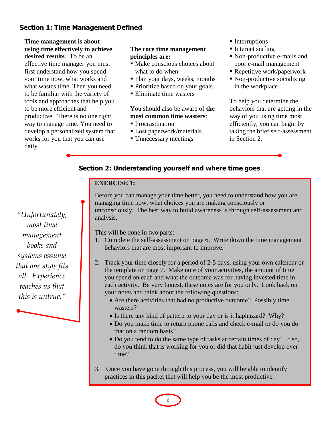## **Section 1: Time Management Defined**

**Time management is about using time effectively to achieve desired results**. To be an effective time manager you must first understand how you spend your time now, what works and what wastes time. Then you need to be familiar with the variety of tools and approaches that help you to be more efficient and productive. There is no one right way to manage time. You need to develop a personalized system that works for you that you can use daily.

## **The core time management principles are:**

- Make conscious choices about what to do when
- Plan your days, weeks, months
- Prioritize based on your goals
- Eliminate time wasters

## You should also be aware of **the most common time wasters**:

- Procrastination
- **Lost paperwork/materials**
- Unnecessary meetings
- **Interruptions**
- Internet surfing
- Non-productive e-mails and poor e-mail management
- Repetitive work/paperwork
- Non-productive socializing in the workplace

To help you determine the behaviors that are getting in the way of you using time most efficiently, you can begin by taking the brief self-assessment in Section 2.

## **Section 2: Understanding yourself and where time goes**

## **EXERCISE 1:**

Before you can manage your time better, you need to understand how you are managing time now, what choices you are making consciously or unconsciously. The best way to build awareness is through self-assessment and analysis.

This will be done in two parts:

- 1. Complete the self-assessment on page 6. Write down the time management behaviors that are most important to improve.
- 2. Track your time closely for a period of 2-5 days, using your own calendar or the template on page 7. Make note of your activities, the amount of time you spend on each and what the outcome was for having invested time in each activity. Be very honest, these notes are for you only. Look back on your notes and think about the following questions:
	- Are there activities that had no productive outcome? Possibly time wasters?
	- Is there any kind of pattern to your day or is it haphazard? Why?
	- Do you make time to return phone calls and check e-mail or do you do that on a random basis?
	- Do you tend to do the same type of tasks at certain times of day? If so, do you think that is working for you or did that habit just develop over time?
- 3. Once you have gone through this process, you will be able to identify practices in this packet that will help you be the most productive.

*"Unfortunately, most time management books and systems assume that one style fits all. Experience teaches us that this is untrue."*



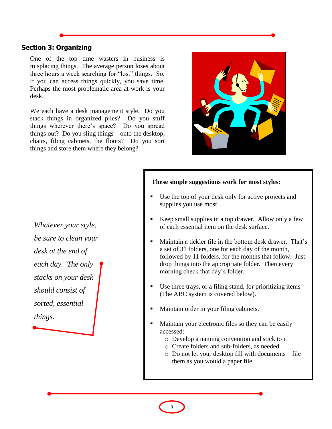## **Section 3: Organizing**

One of the top time wasters in business is misplacing things. The average person loses about three hours a week searching for "lost" things. So, if you can access things quickly, you save time. Perhaps the most problematic area at work is your desk.

We each have a desk management style. Do you stack things in organized piles? Do you stuff things wherever there's space? Do you spread things out? Do you sling things – onto the desktop, chairs, filing cabinets, the floors? Do you sort things and store them where they belong?



*Whatever your style, be sure to clean your desk at the end of each day. The only stacks on your desk should consist of sorted, essential things.* 

### **These simple suggestions work for most styles:**

- Use the top of your desk only for active projects and supplies you use most.
- Keep small supplies in a top drawer. Allow only a few of each essential item on the desk surface.
- Maintain a tickler file in the bottom desk drawer. That's a set of 31 folders, one for each day of the month, followed by 11 folders, for the months that follow. Just drop things into the appropriate folder. Then every morning check that day's folder.
- Use three trays, or a filing stand, for prioritizing items (The ABC system is covered below).
- Maintain order in your filing cabinets.
- Maintain your electronic files so they can be easily accessed:
	- o Develop a naming convention and stick to it
	- o Create folders and sub-folders, as needed
	- o Do not let your desktop fill with documents file them as you would a paper file.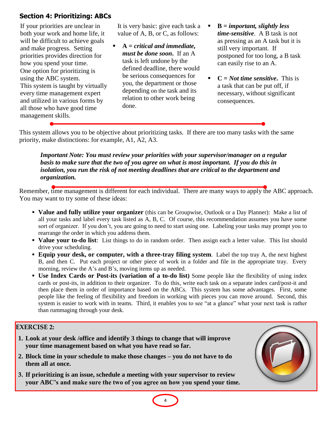## **Section 4: Prioritizing: ABCs**

If your priorities are unclear in both your work and home life, it will be difficult to achieve goals and make progress. Setting priorities provides direction for how you spend your time. One option for prioritizing is using the ABC system. This system is taught by virtually every time management expert and utilized in various forms by all those who have good time management skills.

It is very basic: give each task a value of A, B, or C, as follows:

- **A =** *critical and immediate, must be done soon***.** If an A task is left undone by the defined deadline, there would be serious consequences for you, the department or those depending on the task and its relation to other work being done.
- **B =** *important, slightly less time-sensitive*. A B task is not as pressing as an A task but it is still very important. If postponed for too long, a B task can easily rise to an A.
- **C** = *Not time sensitive*. This is a task that can be put off, if necessary, without significant consequences.

This system allows you to be objective about prioritizing tasks. If there are too many tasks with the same priority, make distinctions: for example, A1, A2, A3.

*Important Note: You must review your priorities with your supervisor/manager on a regular basis to make sure that the two of you agree on what is most important. If you do this in isolation, you run the risk of not meeting deadlines that are critical to the department and organization.*

Remember, time management is different for each individual. There are many ways to apply the ABC approach. You may want to try some of these ideas:

- **Value and fully utilize your organizer** (this can be Groupwise, Outlook or a Day Planner): Make a list of all your tasks and label every task listed as A, B, C. Of course, this recommendation assumes you have some sort of organizer. If you don't, you are going to need to start using one. Labeling your tasks may prompt you to rearrange the order in which you address them.
- **Value your to-do list**: List things to do in random order. Then assign each a letter value. This list should drive your scheduling.
- **Equip your desk, or computer, with a three-tray filing system**. Label the top tray A, the next highest B, and then C. Put each project or other piece of work in a folder and file in the appropriate tray. Every morning, review the A's and B's, moving items up as needed.
- **Use Index Cards or Post-its (variation of a to-do list)** Some people like the flexibility of using index cards or post-its, in addition to their organizer. To do this, write each task on a separate index card/post-it and then place them in order of importance based on the ABCs. This system has some advantages. First, some people like the feeling of flexibility and freedom in working with pieces you can move around. Second, this system is easier to work with in teams. Third, it enables you to see "at a glance" what your next task is rather than rummaging through your desk.

**4**

## **EXERCISE 2:**

- **1. Look at your desk /office and identify 3 things to change that will improve your time management based on what you have read so far.**
- **2. Block time in your schedule to make those changes – you do not have to do them all at once.**
- **3. If prioritizing is an issue, schedule a meeting with your supervisor to review your ABC's and make sure the two of you agree on how you spend your time.**

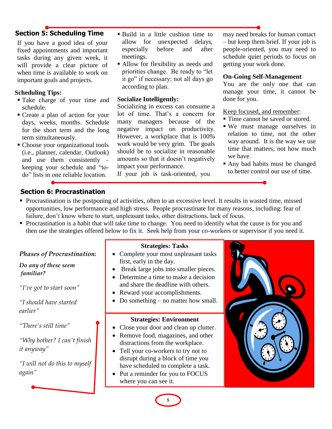## **Section 5: Scheduling Time Example 1** Build in a little cushion time to

If you have a good idea of your fixed appointments and important tasks during any given week, it will provide a clear picture of when time is available to work on important goals and projects.

### **Scheduling Tips:**

- Take charge of your time and schedule.
- Create a plan of action for your days, weeks, months. Schedule for the short term and the long term simultaneously.
- Choose your organizational tools (i.e., planner, calendar, Outlook) and use them consistently – keeping your schedule and "todo" lists in one reliable location.
- allow for unexpected delays, especially before and after meetings.
- Allow for flexibility as needs and priorities change. Be ready to "let it go" if necessary; not all days go according to plan.

### **Socialize Intelligently:**

Socializing in excess can consume a lot of time. That's a concern for many managers because of the negative impact on productivity. However, a workplace that is 100% work would be very grim. The goals should be to socialize in reasonable amounts so that it doesn't negatively impact your performance.

If your job is task-oriented, you

may need breaks for human contact – but keep them brief. If your job is people-oriented, you may need to schedule quiet periods to focus on getting your work done.

### **On-Going Self-Management**

You are the only one that can manage your time, it cannot be done for you.

### Keep focused, and remember:

- Time cannot be saved or stored.
- We must manage ourselves in relation to time, not the other way around. It is the way we use time that matters; not how much we have.
- Any bad habits must be changed to better control our use of time.

## **Section 6: Procrastination**

- Procrastination is the postponing of activities, often to an excessive level. It results in wasted time, missed opportunities, low performance and high stress. People procrastinate for many reasons, including: fear of failure, don't know where to start, unpleasant tasks, other distractions, lack of focus.
- Procrastination is a habit that will take time to change. You need to identify what the cause is for you and then use the strategies offered below to fix it. Seek help from your co-workers or supervisor if you need it.

**Strategies: Tasks**

#### *Phases of Procrastination: Do any of these seem familiar? "I've got to start soon" "I should have started earlier" "There's still time" "Why bother? I can't finish it anyway" "I will not do this to myself again"* **Strategies: Environment** • Close your door and clean up clutter. • Remove food, magazines, and other distractions from the workplace. • Tell your co-workers to try not to disrupt during a block of time you have scheduled to complete a task. • Put a reminder for you to FOCUS where you can see it. • Complete your most unpleasant tasks first, early in the day. • Break large jobs into smaller pieces. • Determine a time to make a decision and share the deadline with others. • Reward your accomplishments. • Do something – no matter how small.

**5**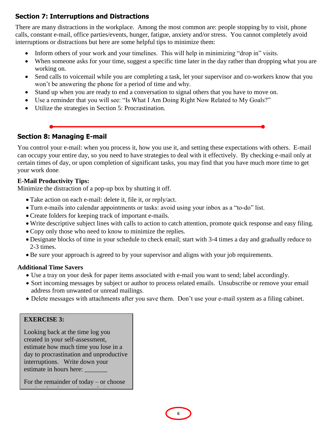## **Section 7: Interruptions and Distractions**

There are many distractions in the workplace. Among the most common are: people stopping by to visit, phone calls, constant e-mail, office parties/events, hunger, fatigue, anxiety and/or stress. You cannot completely avoid interruptions or distractions but here are some helpful tips to minimize them:

- Inform others of your work and your timelines. This will help in minimizing "drop in" visits.
- When someone asks for your time, suggest a specific time later in the day rather than dropping what you are working on.
- Send calls to voicemail while you are completing a task, let your supervisor and co-workers know that you won't be answering the phone for a period of time and why.
- Stand up when you are ready to end a conversation to signal others that you have to move on.
- Use a reminder that you will see: "Is What I Am Doing Right Now Related to My Goals?"
- Utilize the strategies in Section 5: Procrastination.

## **Section 8: Managing E-mail**

You control your e-mail: when you process it, how you use it, and setting these expectations with others. E-mail can occupy your entire day, so you need to have strategies to deal with it effectively. By checking e-mail only at certain times of day, or upon completion of significant tasks, you may find that you have much more time to get your work done.

## **E-Mail Productivity Tips:**

Minimize the distraction of a pop-up box by shutting it off.

- Take action on each e-mail: delete it, file it, or reply/act.
- Turn e-mails into calendar appointments or tasks: avoid using your inbox as a "to-do" list.
- Create folders for keeping track of important e-mails.
- Write descriptive subject lines with calls to action to catch attention, promote quick response and easy filing.
- Copy only those who need to know to minimize the replies.
- Designate blocks of time in your schedule to check email; start with 3-4 times a day and gradually reduce to 2-3 times.
- Be sure your approach is agreed to by your supervisor and aligns with your job requirements.

## **Additional Time Savers**

- Use a tray on your desk for paper items associated with e-mail you want to send; label accordingly.
- Sort incoming messages by subject or author to process related emails. Unsubscribe or remove your email address from unwanted or unread mailings.
- Delete messages with attachments after you save them. Don't use your e-mail system as a filing cabinet.

## **EXERCISE 3:**

Looking back at the time log you created in your self-assessment, estimate how much time you lose in a day to procrastination and unproductive interruptions. Write down your estimate in hours here:

For the remainder of today – or choose

another day this week – track time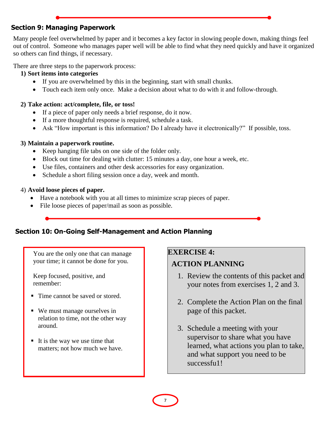## **Section 9: Managing Paperwork**

Many people feel overwhelmed by paper and it becomes a key factor in slowing people down, making things feel out of control. Someone who manages paper well will be able to find what they need quickly and have it organized so others can find things, if necessary.

There are three steps to the paperwork process:

## **1) Sort items into categories**

- If you are overwhelmed by this in the beginning, start with small chunks.
- Touch each item only once. Make a decision about what to do with it and follow-through.

## **2) Take action: act/complete, file, or toss!**

- If a piece of paper only needs a brief response, do it now.
- If a more thoughtful response is required, schedule a task.
- Ask "How important is this information? Do I already have it electronically?" If possible, toss.

## **3) Maintain a paperwork routine.**

- Keep hanging file tabs on one side of the folder only.
- Block out time for dealing with clutter: 15 minutes a day, one hour a week, etc.
- Use files, containers and other desk accessories for easy organization.
- Schedule a short filing session once a day, week and month.

## 4) **Avoid loose pieces of paper.**

- Have a notebook with you at all times to minimize scrap pieces of paper.
- File loose pieces of paper/mail as soon as possible.

## **Section 10: On-Going Self-Management and Action Planning**

You are the only one that can manage your time; it cannot be done for you.

Keep focused, positive, and remember:

- Time cannot be saved or stored.
- We must manage ourselves in relation to time, not the other way around.
- It is the way we use time that matters; not how much we have.

## **EXERCISE 4:**

## **ACTION PLANNING**

- 1. Review the contents of this packet and your notes from exercises 1, 2 and 3.
- 2. Complete the Action Plan on the final page of this packet.
- 3. Schedule a meeting with your supervisor to share what you have learned, what actions you plan to take, and what support you need to be successfu1!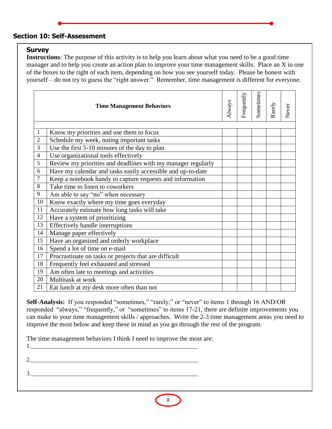## **Section 10: Self-Assessment**

## **Survey**

**Instructions**: The purpose of this activity is to help you learn about what you need to be a good time manager and to help you create an action plan to improve your time management skills. Place an X in one of the boxes to the right of each item, depending on how you see yourself today. Please be honest with yourself – do not try to guess the "right answer." Remember, time management is different for everyone.

|                | <b>Time Management Behaviors</b>                             | Always | Frequently | Sometimes | Rarely | Never |
|----------------|--------------------------------------------------------------|--------|------------|-----------|--------|-------|
| 1              | Know my priorities and use them to focus                     |        |            |           |        |       |
| $\mathfrak{2}$ | Schedule my week, noting important tasks                     |        |            |           |        |       |
| 3              | Use the first 5-10 minutes of the day to plan                |        |            |           |        |       |
| $\overline{4}$ | Use organizational tools effectively                         |        |            |           |        |       |
| 5              | Review my priorities and deadlines with my manager regularly |        |            |           |        |       |
| 6              | Have my calendar and tasks easily accessible and up-to-date  |        |            |           |        |       |
| $\overline{7}$ | Keep a notebook handy to capture requests and information    |        |            |           |        |       |
| 8              | Take time to listen to coworkers                             |        |            |           |        |       |
| 9              | Am able to say "no" when necessary                           |        |            |           |        |       |
| 10             | Know exactly where my time goes everyday                     |        |            |           |        |       |
| 11             | Accurately estimate how long tasks will take                 |        |            |           |        |       |
| 12             | Have a system of prioritizing                                |        |            |           |        |       |
| 13             | <b>Effectively handle interruptions</b>                      |        |            |           |        |       |
| 14             | Manage paper effectively                                     |        |            |           |        |       |
| 15             | Have an organized and orderly workplace                      |        |            |           |        |       |
| 16             | Spend a lot of time on e-mail                                |        |            |           |        |       |
| 17             | Procrastinate on tasks or projects that are difficult        |        |            |           |        |       |
| 18             | Frequently feel exhausted and stressed                       |        |            |           |        |       |
| 19             | Am often late to meetings and activities                     |        |            |           |        |       |
| 20             | Multitask at work                                            |        |            |           |        |       |
| 21             | Eat lunch at my desk more often than not                     |        |            |           |        |       |

nded "sometimes" "rarely" or "never" to items 1 responded "always," "frequently," or "sometimes" to items 17-21, there are definite improvements you can make to your time management skills / approaches. Write the 2-3 time management areas you need to  $r = 0$  and  $r = 0$ improve the most below and keep these in mind as you go through the rest of the program. Self-Analysis: If you responded "sometimes," "rarely," or "never" to items 1 through 16 AND/OR

The time management behaviors I think I need to improve the most are:

asked about your

to remind readers to mark organization. 2.\_\_\_\_\_\_\_\_\_\_\_\_\_\_\_\_\_\_\_\_\_\_\_\_\_\_\_\_\_\_\_\_\_\_\_\_\_\_\_\_\_\_\_\_\_\_\_\_\_\_\_\_\_\_\_\_ the interesting calendars for a regular for a regular for a regular for a regular for a regular for a regular<br>The interesting calendars for a regular for a regular for a regular for a regular for a regular for a regular  $\overline{\mathbf{3.}}$ 

 $1.$ 

**8**

You can also use the space of the space of the space of the space of the space of the space of the space of the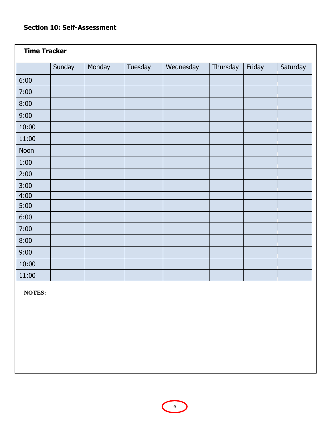## **Section 10: Self-Assessment**

| <b>Time Tracker</b> |        |        |         |           |          |        |          |
|---------------------|--------|--------|---------|-----------|----------|--------|----------|
|                     | Sunday | Monday | Tuesday | Wednesday | Thursday | Friday | Saturday |
| 6:00                |        |        |         |           |          |        |          |
| 7:00                |        |        |         |           |          |        |          |
| 8:00                |        |        |         |           |          |        |          |
| 9:00                |        |        |         |           |          |        |          |
| 10:00               |        |        |         |           |          |        |          |
| 11:00               |        |        |         |           |          |        |          |
| Noon                |        |        |         |           |          |        |          |
| 1:00                |        |        |         |           |          |        |          |
| 2:00                |        |        |         |           |          |        |          |
| 3:00                |        |        |         |           |          |        |          |
| 4:00                |        |        |         |           |          |        |          |
| 5:00                |        |        |         |           |          |        |          |
| 6:00                |        |        |         |           |          |        |          |
| 7:00                |        |        |         |           |          |        |          |
| 8:00                |        |        |         |           |          |        |          |
| 9:00                |        |        |         |           |          |        |          |
| 10:00               |        |        |         |           |          |        |          |
| 11:00               |        |        |         |           |          |        |          |

**NOTES:**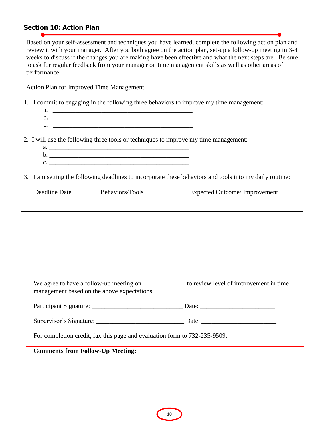## **Section 10: Action Plan**

Based on your self-assessment and techniques you have learned, complete the following action plan and review it with your manager. After you both agree on the action plan, set-up a follow-up meeting in 3-4 weeks to discuss if the changes you are making have been effective and what the next steps are. Be sure to ask for regular feedback from your manager on time management skills as well as other areas of performance.

Action Plan for Improved Time Management

- 1. I commit to engaging in the following three behaviors to improve my time management:
	- $a.$ b. \_\_\_\_\_\_\_\_\_\_\_\_\_\_\_\_\_\_\_\_\_\_\_\_\_\_\_\_\_\_\_\_\_\_\_\_\_\_\_\_\_\_\_
	- $c.$
- 2. I will use the following three tools or techniques to improve my time management:
	- $a.$ b. \_\_\_\_\_\_\_\_\_\_\_\_\_\_\_\_\_\_\_\_\_\_\_\_\_\_\_\_\_\_\_\_\_\_\_\_\_\_\_\_\_\_\_  $c.$
- 3. I am setting the following deadlines to incorporate these behaviors and tools into my daily routine:

| Deadline Date | Behaviors/Tools | <b>Expected Outcome/Improvement</b> |
|---------------|-----------------|-------------------------------------|
|               |                 |                                     |
|               |                 |                                     |
|               |                 |                                     |
|               |                 |                                     |
|               |                 |                                     |
|               |                 |                                     |
|               |                 |                                     |
|               |                 |                                     |
|               |                 |                                     |
|               |                 |                                     |

We agree to have a follow-up meeting on  $\qquad \qquad$  to review level of improvement in time management based on the above expectations.

|  | Participant Signature: | -)ate |  |
|--|------------------------|-------|--|
|--|------------------------|-------|--|

| $\sim$<br>Supervisor's Signature: |  |
|-----------------------------------|--|
|                                   |  |

For completion credit, fax this page and evaluation form to 732-235-9509.

**Comments from Follow-Up Meeting:**